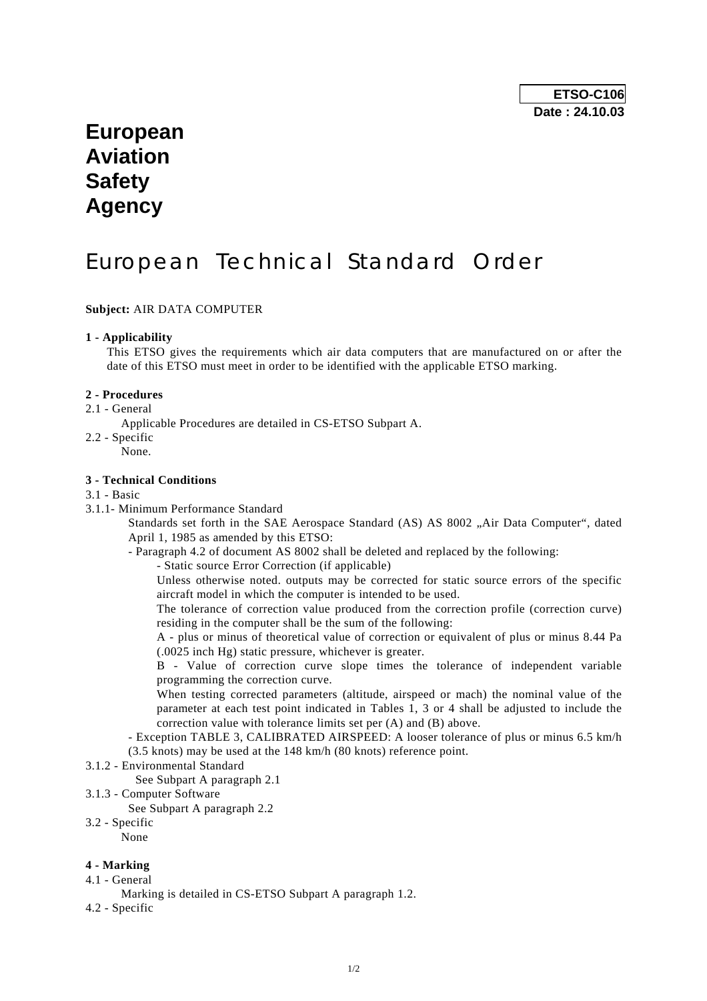## **European Aviation Safety Agency**

# European Technical Standard Order

**Subject:** AIR DATA COMPUTER

#### **1 - Applicability**

 This ETSO gives the requirements which air data computers that are manufactured on or after the date of this ETSO must meet in order to be identified with the applicable ETSO marking.

#### **2 - Procedures**

2.1 - General

Applicable Procedures are detailed in CS-ETSO Subpart A.

- 2.2 Specific
	- None.

#### **3 - Technical Conditions**

### 3.1 - Basic

3.1.1- Minimum Performance Standard

Standards set forth in the SAE Aerospace Standard (AS) AS 8002 "Air Data Computer", dated April 1, 1985 as amended by this ETSO:

- Paragraph 4.2 of document AS 8002 shall be deleted and replaced by the following:
	- Static source Error Correction (if applicable)

 Unless otherwise noted. outputs may be corrected for static source errors of the specific aircraft model in which the computer is intended to be used.

 The tolerance of correction value produced from the correction profile (correction curve) residing in the computer shall be the sum of the following:

 A - plus or minus of theoretical value of correction or equivalent of plus or minus 8.44 Pa (.0025 inch Hg) static pressure, whichever is greater.

 B - Value of correction curve slope times the tolerance of independent variable programming the correction curve.

 When testing corrected parameters (altitude, airspeed or mach) the nominal value of the parameter at each test point indicated in Tables 1, 3 or 4 shall be adjusted to include the correction value with tolerance limits set per (A) and (B) above.

 - Exception TABLE 3, CALIBRATED AIRSPEED: A looser tolerance of plus or minus 6.5 km/h (3.5 knots) may be used at the 148 km/h (80 knots) reference point.

3.1.2 - Environmental Standard

See Subpart A paragraph 2.1

- 3.1.3 Computer Software
	- See Subpart A paragraph 2.2
- 3.2 Specific

None

#### **4 - Marking**

- 4.1 General
	- Marking is detailed in CS-ETSO Subpart A paragraph 1.2.
- 4.2 Specific